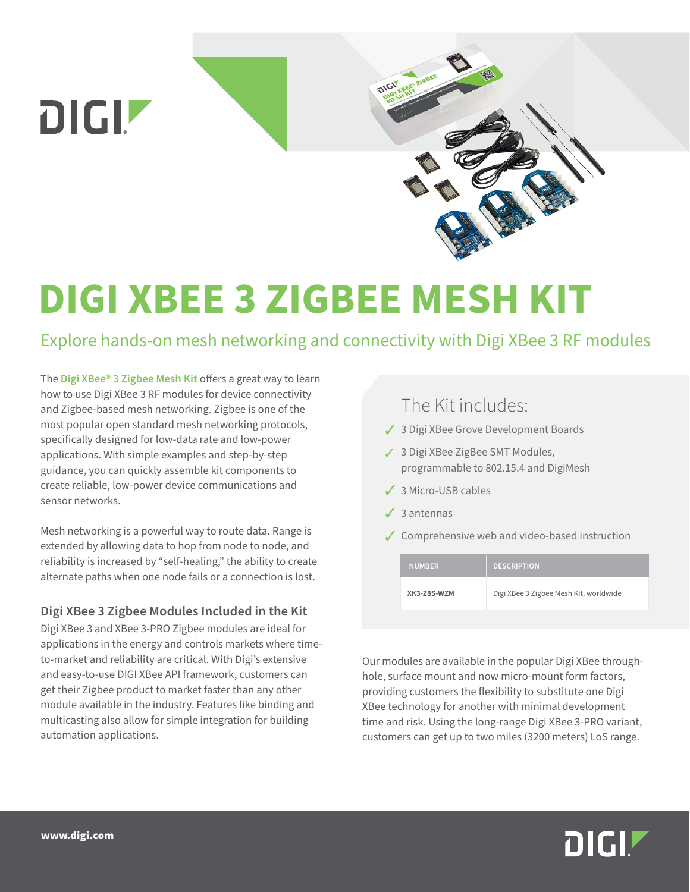

# **DIGI XBEE 3 ZIGBEE MESH KIT**

## Explore hands-on mesh networking and connectivity with Digi XBee 3 RF modules

The **[Digi XBee® 3 Zigbee Mesh Kit](https://www.digi.com/products/models/xk3-z8s-wzm)** offers a great way to learn how to use Digi XBee 3 RF modules for device connectivity and Zigbee-based mesh networking. Zigbee is one of the most popular open standard mesh networking protocols, specifically designed for low-data rate and low-power applications. With simple examples and step-by-step guidance, you can quickly assemble kit components to create reliable, low-power device communications and sensor networks.

Mesh networking is a powerful way to route data. Range is extended by allowing data to hop from node to node, and reliability is increased by "self-healing," the ability to create alternate paths when one node fails or a connection is lost.

### **Digi XBee 3 Zigbee Modules Included in the Kit**

Digi XBee 3 and XBee 3-PRO Zigbee modules are ideal for applications in the energy and controls markets where timeto-market and reliability are critical. With Digi's extensive and easy-to-use DIGI XBee API framework, customers can get their Zigbee product to market faster than any other module available in the industry. Features like binding and multicasting also allow for simple integration for building automation applications.

## The Kit includes:

- 3 3 Digi XBee Grove Development Boards
- 3 3 Digi XBee ZigBee SMT Modules, programmable to 802.15.4 and DigiMesh
- 3 3 Micro-USB cables
- $\angle$  3 antennas
- $\sqrt{\ }$  Comprehensive web and video-based instruction

| <b>NUMBER</b> | <b>DESCRIPTION</b>                     |
|---------------|----------------------------------------|
| XK3-78S-W7M   | Digi XBee 3 Zigbee Mesh Kit, worldwide |

Our modules are available in the popular Digi XBee throughhole, surface mount and now micro-mount form factors, providing customers the flexibility to substitute one Digi XBee technology for another with minimal development time and risk. Using the long-range Digi XBee 3-PRO variant, customers can get up to two miles (3200 meters) LoS range.